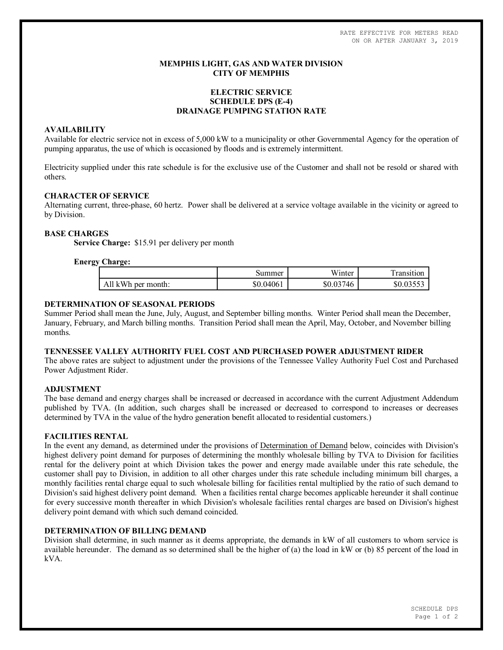RATE EFFECTIVE FOR METERS READ ON OR AFTER JANUARY 3, 2019

## **MEMPHIS LIGHT, GAS AND WATER DIVISION CITY OF MEMPHIS**

# **ELECTRIC SERVICE SCHEDULE DPS (E-4) DRAINAGE PUMPING STATION RATE**

### **AVAILABILITY**

Available for electric service not in excess of 5,000 kW to a municipality or other Governmental Agency for the operation of pumping apparatus, the use of which is occasioned by floods and is extremely intermittent.

Electricity supplied under this rate schedule is for the exclusive use of the Customer and shall not be resold or shared with others.

### **CHARACTER OF SERVICE**

Alternating current, three-phase, 60 hertz. Power shall be delivered at a service voltage available in the vicinity or agreed to by Division.

### **BASE CHARGES**

**Service Charge:** \$15.91 per delivery per month

### **Energy Charge:**

|                    | Summer    | .<br>Winter | ransition |
|--------------------|-----------|-------------|-----------|
| All kWh per month: | \$0.04061 | \$0.03746   | \$0.03553 |

### **DETERMINATION OF SEASONAL PERIODS**

Summer Period shall mean the June, July, August, and September billing months. Winter Period shall mean the December, January, February, and March billing months. Transition Period shall mean the April, May, October, and November billing months.

#### **TENNESSEE VALLEY AUTHORITY FUEL COST AND PURCHASED POWER ADJUSTMENT RIDER**

The above rates are subject to adjustment under the provisions of the Tennessee Valley Authority Fuel Cost and Purchased Power Adjustment Rider.

### **ADJUSTMENT**

The base demand and energy charges shall be increased or decreased in accordance with the current Adjustment Addendum published by TVA. (In addition, such charges shall be increased or decreased to correspond to increases or decreases determined by TVA in the value of the hydro generation benefit allocated to residential customers.)

#### **FACILITIES RENTAL**

In the event any demand, as determined under the provisions of Determination of Demand below, coincides with Division's highest delivery point demand for purposes of determining the monthly wholesale billing by TVA to Division for facilities rental for the delivery point at which Division takes the power and energy made available under this rate schedule, the customer shall pay to Division, in addition to all other charges under this rate schedule including minimum bill charges, a monthly facilities rental charge equal to such wholesale billing for facilities rental multiplied by the ratio of such demand to Division's said highest delivery point demand. When a facilities rental charge becomes applicable hereunder it shall continue for every successive month thereafter in which Division's wholesale facilities rental charges are based on Division's highest delivery point demand with which such demand coincided.

#### **DETERMINATION OF BILLING DEMAND**

Division shall determine, in such manner as it deems appropriate, the demands in kW of all customers to whom service is available hereunder. The demand as so determined shall be the higher of (a) the load in kW or (b) 85 percent of the load in kVA.